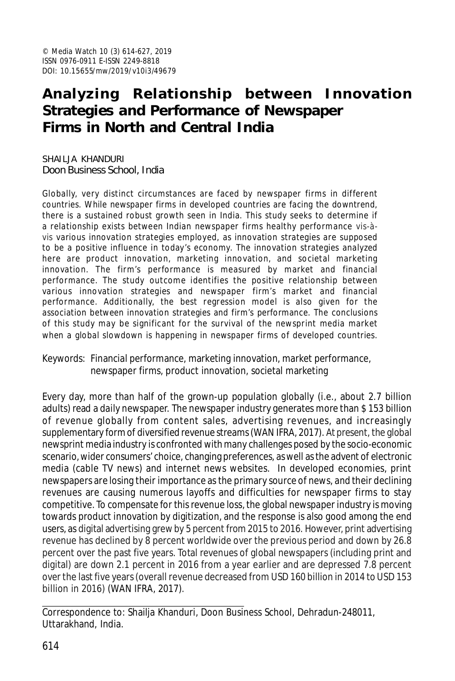# **Analyzing Relationship between Innovation Strategies and Performance of Newspaper Firms in North and Central India**

SHAILJA KHANDURI Doon Business School, India

Globally, very distinct circumstances are faced by newspaper firms in different countries. While newspaper firms in developed countries are facing the downtrend, there is a sustained robust growth seen in India. This study seeks to determine if a relationship exists between Indian newspaper firms healthy performance vis-àvis various innovation strategies employed, as innovation strategies are supposed to be a positive influence in today's economy. The innovation strategies analyzed here are product innovation, marketing innovation, and societal marketing innovation. The firm's performance is measured by market and financial performance. The study outcome identifies the positive relationship between various innovation strategies and newspaper firm's market and financial performance. Additionally, the best regression model is also given for the association between innovation strategies and firm's performance. The conclusions of this study may be significant for the survival of the newsprint media market when a global slowdown is happening in newspaper firms of developed countries.

#### Keywords: Financial performance, marketing innovation, market performance, newspaper firms, product innovation, societal marketing

Every day, more than half of the grown-up population globally (i.e., about 2.7 billion adults) read a daily newspaper. The newspaper industry generates more than \$ 153 billion of revenue globally from content sales, advertising revenues, and increasingly supplementary form of diversified revenue streams (WAN IFRA, 2017). At present, the global newsprint media industry is confronted with many challenges posed by the socio-economic scenario, wider consumers' choice, changing preferences, as well as the advent of electronic media (cable TV news) and internet news websites. In developed economies, print newspapers are losing their importance as the primary source of news, and their declining revenues are causing numerous layoffs and difficulties for newspaper firms to stay competitive. To compensate for this revenue loss, the global newspaper industry is moving towards product innovation by digitization, and the response is also good among the end users, as digital advertising grew by 5 percent from 2015 to 2016. However, print advertising revenue has declined by 8 percent worldwide over the previous period and down by 26.8 percent over the past five years. Total revenues of global newspapers (including print and digital) are down 2.1 percent in 2016 from a year earlier and are depressed 7.8 percent over the last five years (overall revenue decreased from USD 160 billion in 2014 to USD 153 billion in 2016) (WAN IFRA, 2017).

Correspondence to: Shailja Khanduri, Doon Business School, Dehradun-248011, Uttarakhand, India.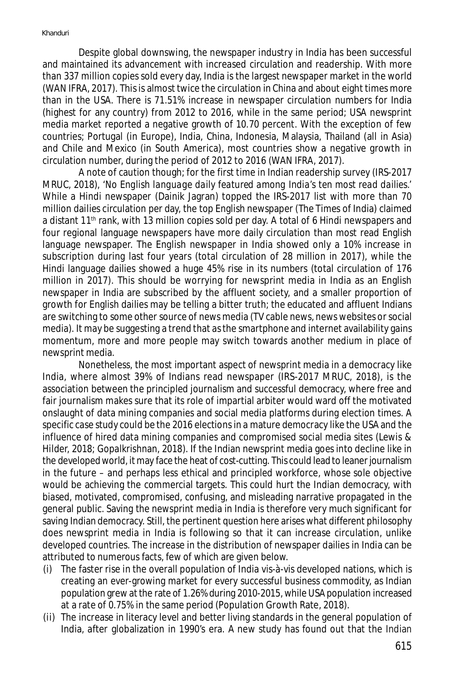Despite global downswing, the newspaper industry in India has been successful and maintained its advancement with increased circulation and readership. With more than 337 million copies sold every day, India is the largest newspaper market in the world (WAN IFRA, 2017). This is almost twice the circulation in China and about eight times more than in the USA. There is 71.51% increase in newspaper circulation numbers for India (highest for any country) from 2012 to 2016, while in the same period; USA newsprint media market reported a negative growth of 10.70 percent. With the exception of few countries; Portugal (in Europe), India, China, Indonesia, Malaysia, Thailand (all in Asia) and Chile and Mexico (in South America), most countries show a negative growth in circulation number, during the period of 2012 to 2016 (WAN IFRA, 2017).

A note of caution though; for the first time in Indian readership survey (IRS-2017 MRUC, 2018), '*No English language daily featured among India's ten most read dailies.'* While a Hindi newspaper (Dainik Jagran) topped the IRS-2017 list with more than 70 million dailies circulation per day, the top English newspaper (The Times of India) claimed a distant 11<sup>th</sup> rank, with 13 million copies sold per day. A total of 6 Hindi newspapers and four regional language newspapers have more daily circulation than most read English language newspaper. The English newspaper in India showed only a 10% increase in subscription during last four years (total circulation of 28 million in 2017), while the Hindi language dailies showed a huge 45% rise in its numbers (total circulation of 176 million in 2017). This should be worrying for newsprint media in India as an English newspaper in India are subscribed by the affluent society, and a smaller proportion of growth for English dailies may be telling a bitter truth; the educated and affluent Indians are switching to some other source of news media (TV cable news, news websites or social media). It may be suggesting a trend that as the smartphone and internet availability gains momentum, more and more people may switch towards another medium in place of newsprint media.

Nonetheless, the most important aspect of newsprint media in a democracy like India, where almost 39% of Indians read newspaper (IRS-2017 MRUC, 2018), is the association between the principled journalism and successful democracy, where free and fair journalism makes sure that its role of impartial arbiter would ward off the motivated onslaught of data mining companies and social media platforms during election times. A specific case study could be the 2016 elections in a mature democracy like the USA and the influence of hired data mining companies and compromised social media sites (Lewis & Hilder, 2018; Gopalkrishnan, 2018). If the Indian newsprint media goes into decline like in the developed world, it may face the heat of cost-cutting. This could lead to leaner journalism in the future – and perhaps less ethical and principled workforce, whose sole objective would be achieving the commercial targets. This could hurt the Indian democracy, with biased, motivated, compromised, confusing, and misleading narrative propagated in the general public. Saving the newsprint media in India is therefore very much significant for saving Indian democracy. Still, the pertinent question here arises what different philosophy does newsprint media in India is following so that it can increase circulation, unlike developed countries. The increase in the distribution of newspaper dailies in India can be attributed to numerous facts, few of which are given below.

- (i) The faster rise in the overall population of India vis-à-vis developed nations, which is creating an ever-growing market for every successful business commodity, as Indian population grew at the rate of 1.26% during 2010-2015, while USA population increased at a rate of 0.75% in the same period (Population Growth Rate, 2018).
- (ii) The increase in literacy level and better living standards in the general population of India, after globalization in 1990's era. A new study has found out that the Indian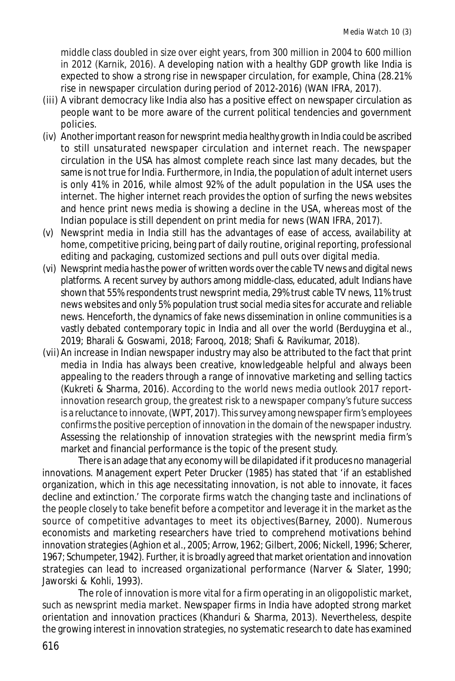middle class doubled in size over eight years, from 300 million in 2004 to 600 million in 2012 (Karnik, 2016). A developing nation with a healthy GDP growth like India is expected to show a strong rise in newspaper circulation, for example, China (28.21% rise in newspaper circulation during period of 2012-2016) (WAN IFRA, 2017).

- (iii) A vibrant democracy like India also has a positive effect on newspaper circulation as people want to be more aware of the current political tendencies and government policies.
- (iv) Another important reason for newsprint media healthy growth in India could be ascribed to still unsaturated newspaper circulation and internet reach. The newspaper circulation in the USA has almost complete reach since last many decades, but the same is not true for India. Furthermore, in India, the population of adult internet users is only 41% in 2016, while almost 92% of the adult population in the USA uses the internet. The higher internet reach provides the option of surfing the news websites and hence print news media is showing a decline in the USA, whereas most of the Indian populace is still dependent on print media for news (WAN IFRA, 2017).
- (v) Newsprint media in India still has the advantages of ease of access, availability at home, competitive pricing, being part of daily routine, original reporting, professional editing and packaging, customized sections and pull outs over digital media.
- (vi) Newsprint media has the power of written words over the cable TV news and digital news platforms. A recent survey by authors among middle-class, educated, adult Indians have shown that 55% respondents trust newsprint media, 29% trust cable TV news, 11% trust news websites and only 5% population trust social media sites for accurate and reliable news. Henceforth, the dynamics of fake news dissemination in online communities is a vastly debated contemporary topic in India and all over the world (Berduygina et al., 2019; Bharali & Goswami, 2018; Farooq, 2018; Shafi & Ravikumar, 2018).
- (vii) An increase in Indian newspaper industry may also be attributed to the fact that print media in India has always been creative, knowledgeable helpful and always been appealing to the readers through a range of innovative marketing and selling tactics (Kukreti & Sharma, 2016). According to the world news media outlook 2017 reportinnovation research group, the greatest risk to a newspaper company's future success is a reluctance to innovate, (WPT, 2017). This survey among newspaper firm's employees confirms the positive perception of innovation in the domain of the newspaper industry. Assessing the relationship of innovation strategies with the newsprint media firm's market and financial performance is the topic of the present study.

There is an adage that any economy will be dilapidated if it produces no managerial innovations. Management expert Peter Drucker (1985) has stated that 'if an established organization, which in this age necessitating innovation, is not able to innovate, it faces decline and extinction.' The corporate firms watch the changing taste and inclinations of the people closely to take benefit before a competitor and leverage it in the market as the source of competitive advantages to meet its objectives(Barney, 2000). Numerous economists and marketing researchers have tried to comprehend motivations behind innovation strategies (Aghion et al., 2005; Arrow, 1962; Gilbert, 2006; Nickell, 1996; Scherer, 1967; Schumpeter, 1942). Further, it is broadly agreed that market orientation and innovation strategies can lead to increased organizational performance (Narver & Slater, 1990; Jaworski & Kohli, 1993).

The role of innovation is more vital for a firm operating in an oligopolistic market, such as newsprint media market. Newspaper firms in India have adopted strong market orientation and innovation practices (Khanduri & Sharma, 2013). Nevertheless, despite the growing interest in innovation strategies, no systematic research to date has examined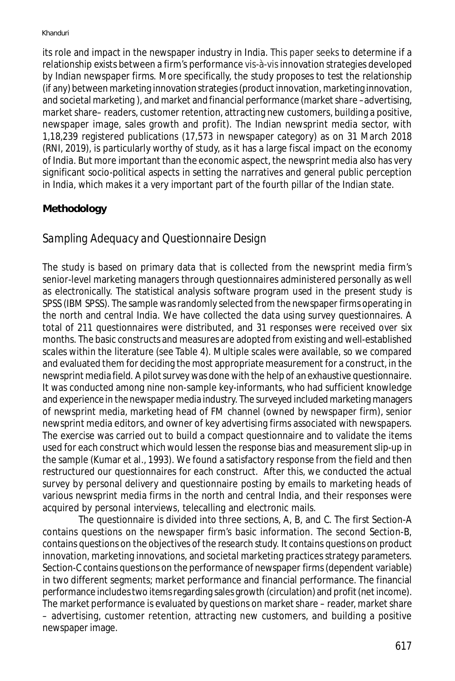its role and impact in the newspaper industry in India. This paper seeks to determine if a relationship exists between a firm's performance vis-à-vis innovation strategies developed by Indian newspaper firms. More specifically, the study proposes to test the relationship (if any) between marketing innovation strategies (product innovation, marketing innovation, and societal marketing ), and market and financial performance (market share –advertising, market share– readers, customer retention, attracting new customers, building a positive, newspaper image, sales growth and profit). The Indian newsprint media sector, with 1,18,239 registered publications (17,573 in newspaper category) as on 31 March 2018 (RNI, 2019), is particularly worthy of study, as it has a large fiscal impact on the economy of India. But more important than the economic aspect, the newsprint media also has very significant socio-political aspects in setting the narratives and general public perception in India, which makes it a very important part of the fourth pillar of the Indian state.

## **Methodology**

# *Sampling Adequacy and Questionnaire Design*

The study is based on primary data that is collected from the newsprint media firm's senior-level marketing managers through questionnaires administered personally as well as electronically. The statistical analysis software program used in the present study is SPSS (IBM SPSS). The sample was randomly selected from the newspaper firms operating in the north and central India. We have collected the data using survey questionnaires. A total of 211 questionnaires were distributed, and 31 responses were received over six months. The basic constructs and measures are adopted from existing and well-established scales within the literature (see Table 4). Multiple scales were available, so we compared and evaluated them for deciding the most appropriate measurement for a construct, in the newsprint media field. A pilot survey was done with the help of an exhaustive questionnaire. It was conducted among nine non-sample key-informants, who had sufficient knowledge and experience in the newspaper media industry. The surveyed included marketing managers of newsprint media, marketing head of FM channel (owned by newspaper firm), senior newsprint media editors, and owner of key advertising firms associated with newspapers. The exercise was carried out to build a compact questionnaire and to validate the items used for each construct which would lessen the response bias and measurement slip-up in the sample (Kumar et al., 1993). We found a satisfactory response from the field and then restructured our questionnaires for each construct. After this, we conducted the actual survey by personal delivery and questionnaire posting by emails to marketing heads of various newsprint media firms in the north and central India, and their responses were acquired by personal interviews, telecalling and electronic mails.

The questionnaire is divided into three sections, A, B, and C. The first Section-A contains questions on the newspaper firm's basic information. The second Section-B, contains questions on the objectives of the research study. It contains questions on product innovation, marketing innovations, and societal marketing practices strategy parameters. Section-C contains questions on the performance of newspaper firms (dependent variable) in two different segments; market performance and financial performance. The financial performance includes two items regarding sales growth (circulation) and profit (net income). The market performance is evaluated by questions on market share – reader, market share – advertising, customer retention, attracting new customers, and building a positive newspaper image.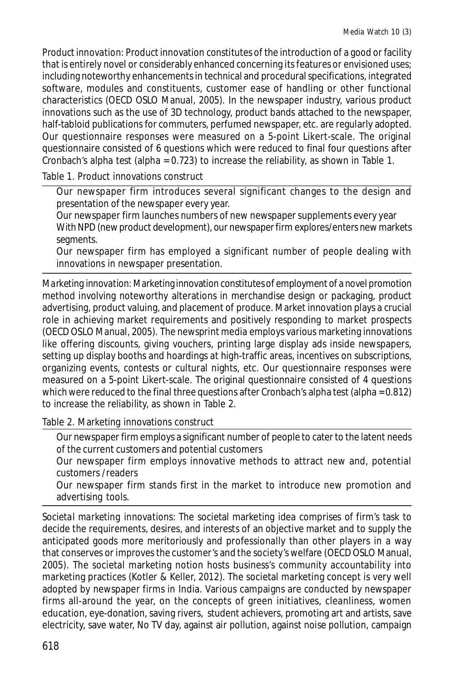*Product innovation:* Product innovation constitutes of the introduction of a good or facility that is entirely novel or considerably enhanced concerning its features or envisioned uses; including noteworthy enhancements in technical and procedural specifications, integrated software, modules and constituents, customer ease of handling or other functional characteristics (OECD OSLO Manual, 2005). In the newspaper industry, various product innovations such as the use of 3D technology, product bands attached to the newspaper, half-tabloid publications for commuters, perfumed newspaper, etc. are regularly adopted. Our questionnaire responses were measured on a 5-point Likert-scale. The original questionnaire consisted of 6 questions which were reduced to final four questions after Cronbach's alpha test (alpha =  $0.723$ ) to increase the reliability, as shown in Table 1.

Table 1. Product innovations construct

Our newspaper firm introduces several significant changes to the design and presentation of the newspaper every year.

Our newspaper firm launches numbers of new newspaper supplements every year With NPD (new product development), our newspaper firm explores/enters new markets segments.

Our newspaper firm has employed a significant number of people dealing with innovations in newspaper presentation.

*Marketing innovation:* Marketing innovation constitutes of employment of a novel promotion method involving noteworthy alterations in merchandise design or packaging, product advertising, product valuing, and placement of produce. Market innovation plays a crucial role in achieving market requirements and positively responding to market prospects (OECD OSLO Manual, 2005). The newsprint media employs various marketing innovations like offering discounts, giving vouchers, printing large display ads inside newspapers, setting up display booths and hoardings at high-traffic areas, incentives on subscriptions, organizing events, contests or cultural nights, etc. Our questionnaire responses were measured on a 5-point Likert-scale. The original questionnaire consisted of 4 questions which were reduced to the final three questions after Cronbach's alpha test (alpha = 0.812) to increase the reliability, as shown in Table 2.

Table 2. Marketing innovations construct

Our newspaper firm employs a significant number of people to cater to the latent needs of the current customers and potential customers

Our newspaper firm employs innovative methods to attract new and, potential customers /readers

Our newspaper firm stands first in the market to introduce new promotion and advertising tools.

*Societal marketing innovations:* The societal marketing idea comprises of firm's task to decide the requirements, desires, and interests of an objective market and to supply the anticipated goods more meritoriously and professionally than other players in a way that conserves or improves the customer's and the society's welfare (OECD OSLO Manual, 2005). The societal marketing notion hosts business's community accountability into marketing practices (Kotler & Keller, 2012). The societal marketing concept is very well adopted by newspaper firms in India. Various campaigns are conducted by newspaper firms all-around the year, on the concepts of green initiatives, cleanliness, women education, eye-donation, saving rivers, student achievers, promoting art and artists, save electricity, save water, No TV day, against air pollution, against noise pollution, campaign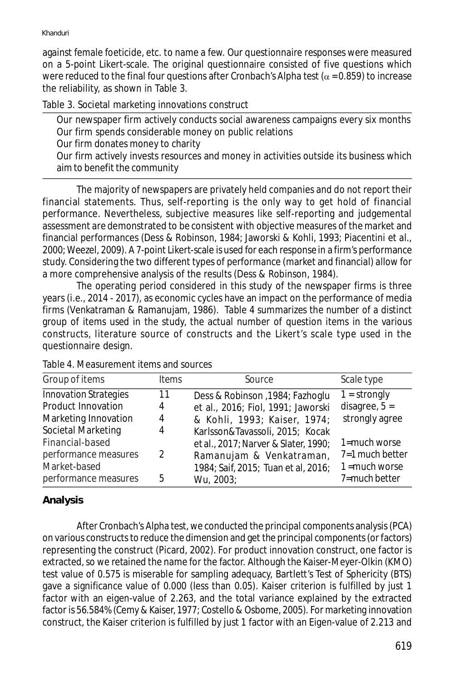against female foeticide, etc. to name a few. Our questionnaire responses were measured on a 5-point Likert-scale. The original questionnaire consisted of five questions which were reduced to the final four questions after Cronbach's Alpha test ( $\alpha$  = 0.859) to increase the reliability, as shown in Table 3.

Table 3. Societal marketing innovations construct

Our newspaper firm actively conducts social awareness campaigns every six months Our firm spends considerable money on public relations Our firm donates money to charity Our firm actively invests resources and money in activities outside its business which aim to benefit the community

The majority of newspapers are privately held companies and do not report their financial statements. Thus, self-reporting is the only way to get hold of financial performance. Nevertheless, subjective measures like self-reporting and judgemental assessment are demonstrated to be consistent with objective measures of the market and financial performances (Dess & Robinson, 1984; Jaworski & Kohli, 1993; Piacentini et al., 2000; Weezel, 2009). A 7-point Likert-scale is used for each response in a firm's performance study. Considering the two different types of performance (market and financial) allow for a more comprehensive analysis of the results (Dess & Robinson, 1984).

The operating period considered in this study of the newspaper firms is three years (i.e., 2014 - 2017), as economic cycles have an impact on the performance of media firms (Venkatraman & Ramanujam, 1986). Table 4 summarizes the number of a distinct group of items used in the study, the actual number of question items in the various constructs, literature source of constructs and the Likert's scale type used in the questionnaire design.

| Group of items                                                                                   | <b>Items</b>       | Source                                                                                                                                    | Scale type                                                             |
|--------------------------------------------------------------------------------------------------|--------------------|-------------------------------------------------------------------------------------------------------------------------------------------|------------------------------------------------------------------------|
| <b>Innovation Strategies</b><br>Product Innovation<br>Marketing Innovation<br>Societal Marketing | 11<br>4<br>4<br>4  | Dess & Robinson , 1984; Fazhoglu<br>et al., 2016; Fiol, 1991; Jaworski<br>& Kohli, 1993; Kaiser, 1974;<br>Karlsson&Tavassoli, 2015; Kocak | $1 =$ strongly<br>disagree, $5 =$<br>strongly agree                    |
| Financial-based<br>performance measures<br>Market-based<br>performance measures                  | $\mathcal{P}$<br>5 | et al., 2017; Narver & Slater, 1990;<br>Ramanujam & Venkatraman,<br>1984; Saif, 2015; Tuan et al, 2016;<br>Wu, 2003;                      | 1=much worse<br>$7=1$ much better<br>$1 = much worse$<br>7=much better |

#### Table 4. Measurement items and sources

### *Analysis*

After Cronbach's Alpha test, we conducted the principal components analysis (PCA) on various constructs to reduce the dimension and get the principal components (or factors) representing the construct (Picard, 2002). For product innovation construct, one factor is extracted, so we retained the name for the factor. Although the Kaiser-Meyer-Olkin (KMO) test value of 0.575 is miserable for sampling adequacy, Bartlett's Test of Sphericity (BTS) gave a significance value of 0.000 (less than 0.05). Kaiser criterion is fulfilled by just 1 factor with an eigen-value of 2.263, and the total variance explained by the extracted factor is 56.584% (Cemy & Kaiser, 1977; Costello & Osbome, 2005). For marketing innovation construct, the Kaiser criterion is fulfilled by just 1 factor with an Eigen-value of 2.213 and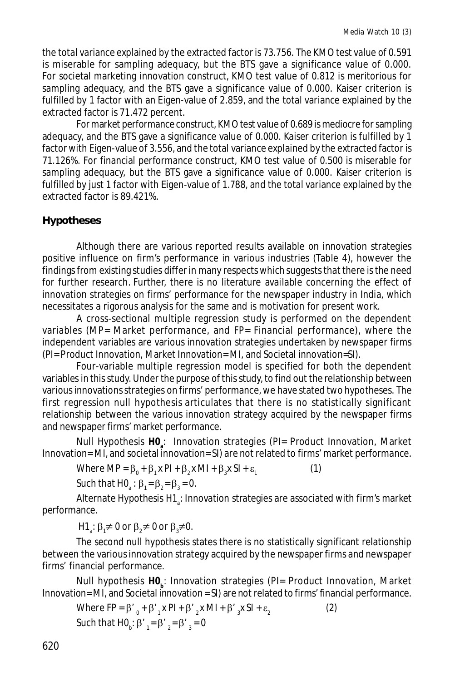the total variance explained by the extracted factor is 73.756. The KMO test value of 0.591 is miserable for sampling adequacy, but the BTS gave a significance value of 0.000. For societal marketing innovation construct, KMO test value of 0.812 is meritorious for sampling adequacy, and the BTS gave a significance value of 0.000. Kaiser criterion is fulfilled by 1 factor with an Eigen-value of 2.859, and the total variance explained by the extracted factor is 71.472 percent.

For market performance construct, KMO test value of 0.689 is mediocre for sampling adequacy, and the BTS gave a significance value of 0.000. Kaiser criterion is fulfilled by 1 factor with Eigen-value of 3.556, and the total variance explained by the extracted factor is 71.126%. For financial performance construct, KMO test value of 0.500 is miserable for sampling adequacy, but the BTS gave a significance value of 0.000. Kaiser criterion is fulfilled by just 1 factor with Eigen-value of 1.788, and the total variance explained by the extracted factor is 89.421%.

### **Hypotheses**

Although there are various reported results available on innovation strategies positive influence on firm's performance in various industries (Table 4), however the findings from existing studies differ in many respects which suggests that there is the need for further research. Further, there is no literature available concerning the effect of innovation strategies on firms' performance for the newspaper industry in India, which necessitates a rigorous analysis for the same and is motivation for present work.

A cross-sectional multiple regression study is performed on the dependent variables (*MP*= Market performance, and *FP*= Financial performance), where the independent variables are various innovation strategies undertaken by newspaper firms (*PI*= Product Innovation, Market Innovation= *MI*, and Societal innovation=*SI*).

Four-variable multiple regression model is specified for both the dependent variables in this study. Under the purpose of this study, to find out the relationship between various innovations strategies on firms' performance, we have stated two hypotheses. The first regression null hypothesis articulates that there is no statistically significant relationship between the various innovation strategy acquired by the newspaper firms and newspaper firms' market performance.

Null Hypothesis **H0<sup>a</sup>** : Innovation strategies (*PI*= Product Innovation, Market Innovation= *MI,* and societal innovation= *SI*) are not related to firms' market performance.

Where 
$$
MP = \beta_0 + \beta_1 x Pl + \beta_2 x Ml + \beta_3 x Sl + \varepsilon_1
$$
 (1)

Such that HO<sub>a</sub>:  $\beta_1 = \beta_2 = \beta_3 = 0$ .

Alternate Hypothesis H1 $_{\text{\tiny s}}$ : Innovation strategies are associated with firm's market performance.

H1<sub>a</sub>:  $\beta_1 \neq 0$  or  $\beta_2 \neq 0$  or  $\beta_3 \neq 0$ .

The second null hypothesis states there is no statistically significant relationship between the various innovation strategy acquired by the newspaper firms and newspaper firms' financial performance.

Null hypothesis **H0<sup>b</sup>** : Innovation strategies (*PI*= Product Innovation, Market Innovation= *MI*, and Societal innovation = *SI*) are not related to firms' financial performance.

Where 
$$
FP = \beta'_{0} + \beta'_{1}x \, PI + \beta'_{2}x \, MI + \beta'_{3}x \, SI + \varepsilon_{2}
$$
 (2)  
Such that  $HQ_{6}: \beta'_{1} = \beta'_{2} = \beta'_{3} = 0$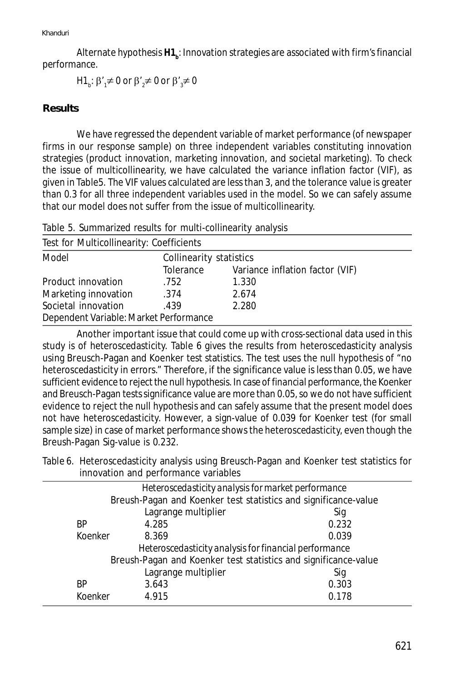Alternate hypothesis **H1<sup>b</sup>** : Innovation strategies are associated with firm's financial performance.

H1<sub>b</sub>: β'<sub>1</sub>≠ 0 or β'<sub>2</sub>≠ 0 or β'<sub>3</sub>≠ 0

#### **Results**

We have regressed the dependent variable of market performance (of newspaper firms in our response sample) on three independent variables constituting innovation strategies (product innovation, marketing innovation, and societal marketing). To check the issue of multicollinearity, we have calculated the variance inflation factor (VIF), as given in Table5. The VIF values calculated are less than 3, and the tolerance value is greater than 0.3 for all three independent variables used in the model. So we can safely assume that our model does not suffer from the issue of multicollinearity.

Table 5. Summarized results for multi-collinearity analysis

| Test for Multicollinearity: Coefficients |                         |                                 |  |  |
|------------------------------------------|-------------------------|---------------------------------|--|--|
| Model                                    | Collinearity statistics |                                 |  |  |
|                                          | Tolerance               | Variance inflation factor (VIF) |  |  |
| Product innovation                       | .752                    | 1.330                           |  |  |
| Marketing innovation                     | .374                    | 2.674                           |  |  |
| Societal innovation                      | .439                    | 2.280                           |  |  |
| Dependent Variable: Market Performance   |                         |                                 |  |  |

Another important issue that could come up with cross-sectional data used in this study is of heteroscedasticity. Table 6 gives the results from heteroscedasticity analysis using Breusch-Pagan and Koenker test statistics. The test uses the null hypothesis of "no heteroscedasticity in errors." Therefore, if the significance value is less than 0.05, we have sufficient evidence to reject the null hypothesis. In case of *financial performance*, the Koenker and Breusch-Pagan tests significance value are more than 0.05, so we do not have sufficient evidence to reject the null hypothesis and can safely assume that the present model does not have heteroscedasticity. However, a sign-value of 0.039 for Koenker test (for small sample size) in case of *market performance* shows the heteroscedasticity, even though the Breush-Pagan Sig-value is 0.232.

Table 6. Heteroscedasticity analysis using Breusch-Pagan and Koenker test statistics for innovation and performance variables

| Heteroscedasticity analysis for market performance              |         |                     |       |
|-----------------------------------------------------------------|---------|---------------------|-------|
| Breush-Pagan and Koenker test statistics and significance-value |         |                     |       |
|                                                                 |         | Lagrange multiplier | Sig   |
|                                                                 | ΒP      | 4.285               | 0.232 |
|                                                                 | Koenker | 8.369               | 0.039 |
| Heteroscedasticity analysis for financial performance           |         |                     |       |
| Breush-Pagan and Koenker test statistics and significance-value |         |                     |       |
|                                                                 |         | Lagrange multiplier | Sig   |
|                                                                 | ΒP      | 3.643               | 0.303 |
|                                                                 | Koenker | 4.915               | 0.178 |
|                                                                 |         |                     |       |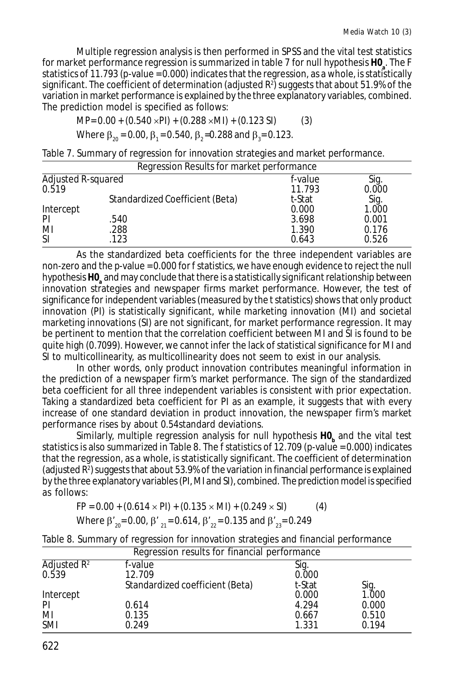Multiple regression analysis is then performed in SPSS and the vital test statistics for market performance regression is summarized in table 7 for null hypothesis **H0<sup>a</sup>** . The F statistics of 11.793 (p-value = 0.000) indicates that the regression, as a whole, is statistically significant. The coefficient of determination (adjusted R<sup>2</sup> ) suggests that about 51.9% of the variation in market performance is explained by the three explanatory variables, combined. The prediction model is specified as follows:

*MP*= 0.00 + (0.540 *PI*) + (0.288 *MI*) + (0.123 *SI*) (3)

Where  $\beta_{20}$  = 0.00,  $\beta_{1}$  = 0.540,  $\beta_{2}$  =0.288 and  $\beta_{3}$  = 0.123.

Table 7. Summary of regression for innovation strategies and market performance.

| Regression Results for market performance |                                 |         |       |
|-------------------------------------------|---------------------------------|---------|-------|
| Adjusted R-squared                        |                                 | f-value | Sig.  |
| 0.519                                     |                                 | 11.793  | 0.000 |
|                                           | Standardized Coefficient (Beta) | t-Stat  | Sig.  |
| Intercept                                 |                                 | 0.000   | 1.000 |
| <b>PI</b>                                 | .540                            | 3.698   | 0.001 |
| MI                                        | .288                            | 1.390   | 0.176 |
| <sup>SI</sup>                             | .123                            | 0.643   | 0.526 |

As the standardized beta coefficients for the three independent variables are non-zero and the *p*-value = 0.000 for f statistics, we have enough evidence to reject the null hypothesis **H0<sup>a</sup>** and may conclude that there is a *statistically significant relationship* between innovation strategies and newspaper firms market performance. However, the test of significance for independent variables (measured by the t statistics) shows that only product innovation (*PI*) is statistically significant, while marketing innovation (*MI*) and societal marketing innovations (*SI*) are not significant, for market performance regression. It may be pertinent to mention that the correlation coefficient between *MI* and *SI* is found to be quite high (0.7099). However, we cannot infer the lack of statistical significance for *MI* and *SI* to multicollinearity, as multicollinearity does not seem to exist in our analysis.

In other words, only product innovation contributes meaningful information in the prediction of a newspaper firm's market performance. The sign of the standardized beta coefficient for all three independent variables is consistent with prior expectation. Taking a standardized beta coefficient for *PI* as an example, it suggests that with every increase of one standard deviation in product innovation, the newspaper firm's market performance rises by about 0.54standard deviations.

Similarly, multiple regression analysis for null hypothesis **H0<sup>b</sup>** and the vital test statistics is also summarized in Table 8. The f statistics of 12.709 (*p*-value = 0.000) indicates that the regression, as a whole, is statistically significant. The coefficient of determination (adjusted  $R^2$ ) suggests that about 53.9% of the variation in financial performance is explained by the three explanatory variables (*PI*, *MI* and *SI*), combined. The prediction model is specified as follows:

$$
FP = 0.00 + (0.614 \times PI) + (0.135 \times MI) + (0.249 \times SI)
$$
 (4)

Where 
$$
\beta'_{20} = 0.00
$$
,  $\beta'_{21} = 0.614$ ,  $\beta'_{22} = 0.135$  and  $\beta'_{23} = 0.249$ 

Table 8. Summary of regression for innovation strategies and financial performance

| Regression results for financial performance |                                 |        |       |
|----------------------------------------------|---------------------------------|--------|-------|
| Adjusted $R^2$                               | <i>f</i> -value                 | Sig.   |       |
| 0.539                                        | 12.709                          | 0.000  |       |
|                                              | Standardized coefficient (Beta) | t-Stat | Sig.  |
| Intercept                                    |                                 | 0.000  | 1.000 |
| PI                                           | 0.614                           | 4.294  | 0.000 |
| MI                                           | 0.135                           | 0.667  | 0.510 |
| <b>SMI</b>                                   | 0.249                           | 1.331  | 0.194 |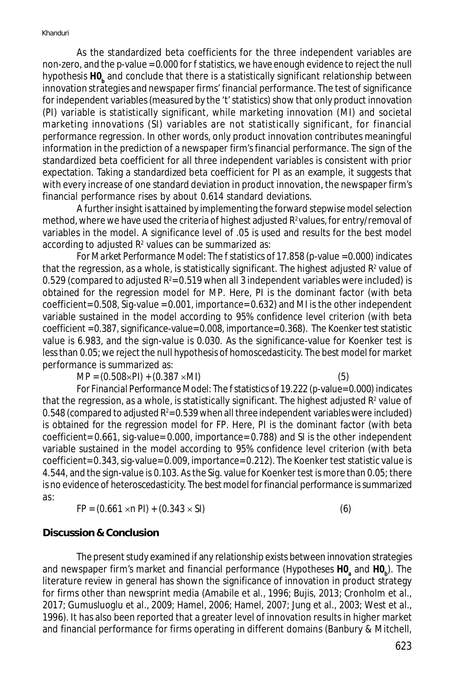As the standardized beta coefficients for the three independent variables are non-zero, and the *p*-value = 0.000 for *f* statistics, we have enough evidence to reject the null hypothesis **H0<sup>b</sup>** and conclude that there is a statistically significant relationship between innovation strategies and newspaper firms' financial performance. The test of significance for independent variables (measured by the 't' statistics) show that only product innovation (*PI*) variable is statistically significant, while marketing innovation (*MI*) and societal marketing innovations (*SI*) variables are not statistically significant, for financial performance regression. In other words, only product innovation contributes meaningful information in the prediction of a newspaper firm's financial performance. The sign of the standardized beta coefficient for all three independent variables is consistent with prior expectation. Taking a standardized beta coefficient for *PI* as an example, it suggests that with every increase of one standard deviation in product innovation, the newspaper firm's financial performance rises by about 0.614 standard deviations.

A further insight is attained by implementing the forward stepwise model selection method, where we have used the criteria of highest adjusted *R* <sup>2</sup>values, for entry/removal of variables in the model. A significance level of .05 is used and results for the best model according to adjusted  $R^{\scriptscriptstyle 2}$  values can be summarized as:

*For Market Performance Model:* The *f* statistics of 17.858 (*p*-value = 0.000) indicates that the regression, as a whole, is statistically significant. The highest adjusted  $\mathsf{R}^{\mathsf{2}}$  value of 0.529 (compared to adjusted  $R^{\scriptscriptstyle 2}$ = 0.519 when all 3 independent variables were included) is obtained for the regression model for *MP*. Here, *PI* is the dominant factor (with beta coefficient= 0.508, Sig-value = 0.001, importance= 0.632) and *MI* is the other independent variable sustained in the model according to 95% confidence level criterion (with beta coefficient = 0.387, significance-value= 0.008, importance= 0.368). The Koenker test statistic value is 6.983, and the sign-value is 0.030. As the significance-value for Koenker test is less than 0.05; we reject the null hypothesis of homoscedasticity. The best model for market performance is summarized as:

 $MP = (0.508 \times PI) + (0.387 \times MI)$  (5)

*For Financial Performance Model:* The *f* statistics of 19.222 (*p*-value= 0.000) indicates that the regression, as a whole, is statistically significant. The highest adjusted  $R^{\rm{z}}$  value of 0.548 (compared to adjusted  $R^2$ = 0.539 when all three independent variables were included) is obtained for the regression model for *FP*. Here, *PI* is the dominant factor (with beta coefficient= 0.661, sig-value= 0.000, importance= 0.788) and *SI* is the other independent variable sustained in the model according to 95% confidence level criterion (with beta coefficient= 0.343, sig-value= 0.009, importance= 0.212). The Koenker test statistic value is 4.544, and the sign-value is 0.103. As the Sig. value for Koenker test is more than 0.05; there is no evidence of heteroscedasticity. The best model for financial performance is summarized as:

 $FP = (0.661 \times n \text{ } P1) + (0.343 \times S1)$  (6)

#### **Discussion & Conclusion**

The present study examined if any relationship exists between innovation strategies and newspaper firm's market and financial performance (Hypotheses **H0<sup>a</sup>** and **H0<sup>b</sup>** ). The literature review in general has shown the significance of innovation in product strategy for firms other than newsprint media (Amabile et al., 1996; Bujis, 2013; Cronholm et al., 2017; Gumusluoglu et al., 2009; Hamel, 2006; Hamel, 2007; Jung et al., 2003; West et al., 1996). It has also been reported that a greater level of innovation results in higher market and financial performance for firms operating in different domains (Banbury & Mitchell,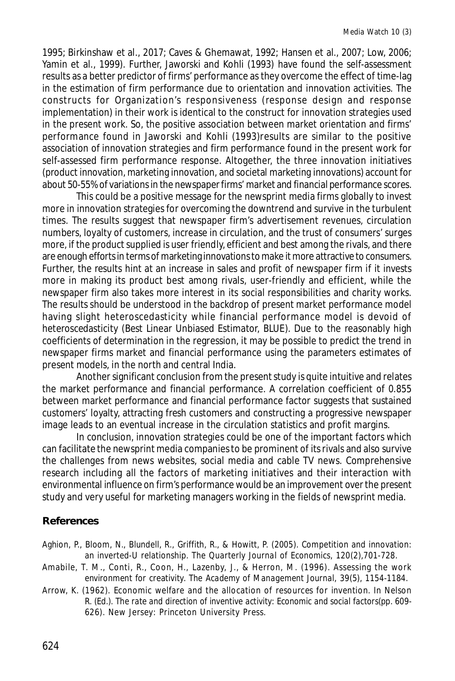1995; Birkinshaw et al., 2017; Caves & Ghemawat, 1992; Hansen et al., 2007; Low, 2006; Yamin et al., 1999). Further, Jaworski and Kohli (1993) have found the self-assessment results as a better predictor of firms' performance as they overcome the effect of time-lag in the estimation of firm performance due to orientation and innovation activities. The constructs for Organization's responsiveness (response design and response implementation) in their work is identical to the construct for innovation strategies used in the present work. So, the positive association between market orientation and firms' performance found in Jaworski and Kohli (1993)results are similar to the positive association of innovation strategies and firm performance found in the present work for self-assessed firm performance response. Altogether, the three innovation initiatives (product innovation, marketing innovation, and societal marketing innovations) account for about 50-55% of variations in the newspaper firms' market and financial performance scores.

This could be a positive message for the newsprint media firms globally to invest more in innovation strategies for overcoming the downtrend and survive in the turbulent times. The results suggest that newspaper firm's advertisement revenues, circulation numbers, loyalty of customers, increase in circulation, and the trust of consumers' surges more, if the product supplied is user friendly, efficient and best among the rivals, and there are enough efforts in terms of marketing innovations to make it more attractive to consumers. Further, the results hint at an increase in sales and profit of newspaper firm if it invests more in making its product best among rivals, user-friendly and efficient, while the newspaper firm also takes more interest in its social responsibilities and charity works. The results should be understood in the backdrop of present market performance model having slight heteroscedasticity while financial performance model is devoid of heteroscedasticity (Best Linear Unbiased Estimator, BLUE). Due to the reasonably high coefficients of determination in the regression, it may be possible to predict the trend in newspaper firms market and financial performance using the parameters estimates of present models, in the north and central India.

Another significant conclusion from the present study is quite intuitive and relates the market performance and financial performance. A correlation coefficient of 0.855 between market performance and financial performance factor suggests that sustained customers' loyalty, attracting fresh customers and constructing a progressive newspaper image leads to an eventual increase in the circulation statistics and profit margins.

In conclusion, innovation strategies could be one of the important factors which can facilitate the newsprint media companies to be prominent of its rivals and also survive the challenges from news websites, social media and cable TV news. Comprehensive research including all the factors of marketing initiatives and their interaction with environmental influence on firm's performance would be an improvement over the present study and very useful for marketing managers working in the fields of newsprint media.

#### **References**

Aghion, P., Bloom, N., Blundell, R., Griffith, R., & Howitt, P. (2005). Competition and innovation: an inverted-U relationship. *The Quarterly Journal of Economics, 120*(2),701-728.

- Amabile, T. M., Conti, R., Coon, H., Lazenby, J., & Herron, M. (1996). Assessing the work environment for creativity. *The Academy of Management Journal*, *39*(5), 1154-1184.
- Arrow, K. (1962). Economic welfare and the allocation of resources for invention. In Nelson R. (Ed.). *The rate and direction of inventive activity: Economic and social factors*(pp. 609- 626). New Jersey: Princeton University Press.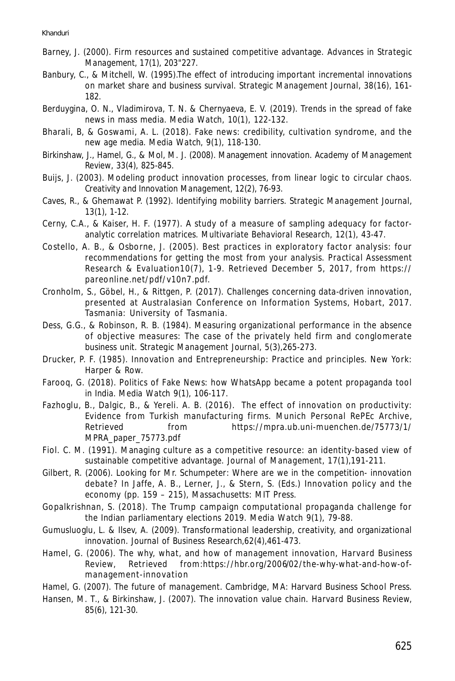- Barney, J. (2000). Firm resources and sustained competitive advantage. *Advances in Strategic Management, 17*(1), 203"227.
- Banbury, C., & Mitchell, W. (1995).The effect of introducing important incremental innovations on market share and business survival. *Strategic Management Journal*, *38*(16), 161- 182.
- Berduygina, O. N., Vladimirova, T. N. & Chernyaeva, E. V. (2019). Trends in the spread of fake news in mass media. *Media Watch, 10*(1), 122-132.
- Bharali, B, & Goswami, A. L. (2018). Fake news: credibility, cultivation syndrome, and the new age media. *Media Watch, 9*(1), 118-130.
- Birkinshaw, J., Hamel, G., & Mol, M. J. (2008). Management innovation. *Academy of Management Review*, *33*(4), 825-845.
- Buijs, J. (2003). Modeling product innovation processes, from linear logic to circular chaos. *Creativity and Innovation Management*, *12*(2), 76-93.
- Caves, R., & Ghemawat P. (1992). Identifying mobility barriers. *Strategic Management Journal*, *13*(1), 1-12.
- Cerny, C.A., & Kaiser, H. F. (1977). A study of a measure of sampling adequacy for factoranalytic correlation matrices. *Multivariate Behavioral Research, 12*(1)*,* 43-47.
- Costello, A. B., & Osborne, J. (2005). Best practices in exploratory factor analysis: four recommendations for getting the most from your analysis. *Practical Assessment Research & Evaluation10*(7), 1-9. Retrieved December 5, 2017, from https:// pareonline.net/pdf/v10n7.pdf.
- Cronholm, S., Göbel, H., & Rittgen, P. (2017). Challenges concerning data-driven innovation, presented at Australasian Conference on Information Systems, Hobart, 2017. Tasmania: University of Tasmania.
- Dess, G.G., & Robinson, R. B. (1984). Measuring organizational performance in the absence of objective measures: The case of the privately held firm and conglomerate business unit. *Strategic Management Journal, 5*(3)*,*265-273.
- Drucker, P. F. (1985). Innovation and Entrepreneurship: Practice and principles. New York: Harper & Row.
- Farooq, G. (2018). Politics of Fake News: how WhatsApp became a potent propaganda tool in India. *Media Watch 9*(1), 106-117.
- Fazhoglu, B., Dalgic, B., & Yereli. A. B. (2016). The effect of innovation on productivity: Evidence from Turkish manufacturing firms. *Munich Personal RePEc Archive*, Retrieved from https://mpra.ub.uni-muenchen.de/75773/1/ MPRA\_paper\_75773.pdf
- Fiol. C. M. (1991). Managing culture as a competitive resource: an identity-based view of sustainable competitive advantage. *Journal of Management, 17*(1)*,*191-211.
- Gilbert, R. (2006). Looking for Mr. Schumpeter: Where are we in the competition- innovation debate? In Jaffe, A. B., Lerner, J., & Stern, S. (Eds.) Innovation policy and the economy (pp. 159 – 215), Massachusetts: MIT Press.
- Gopalkrishnan, S. (2018). The Trump campaign computational propaganda challenge for the Indian parliamentary elections 2019. *Media Watch 9*(1), 79-88.
- Gumusluoglu, L. & Ilsev, A. (2009). Transformational leadership, creativity, and organizational innovation. *Journal of Business Research,62*(4),461-473.
- Hamel, G. (2006). The why, what, and how of management innovation, *Harvard Business Review,* Retrieved from:https://hbr.org/2006/02/the-why-what-and-how-ofmanagement-innovation
- Hamel, G. (2007). *The future of management*. Cambridge, MA: Harvard Business School Press.
- Hansen, M. T., & Birkinshaw, J. (2007). The innovation value chain. *Harvard Business Review, 85*(6), 121-30.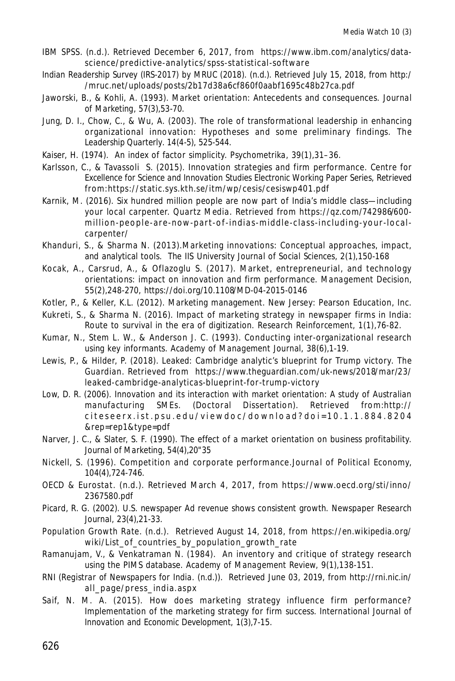- *IBM SPSS*. (n.d.). Retrieved December 6, 2017, from https://www.ibm.com/analytics/datascience/predictive-analytics/spss-statistical-software
- *Indian Readership Survey (IRS-2017) by MRUC (2018).* (n.d.). Retrieved July 15, 2018, from http:/ /mruc.net/uploads/posts/2b17d38a6cf860f0aabf1695c48b27ca.pdf
- Jaworski, B., & Kohli, A. (1993). Market orientation: Antecedents and consequences. *Journal of Marketing, 57*(3),53-70.
- Jung, D. I., Chow, C., & Wu, A. (2003). The role of transformational leadership in enhancing organizational innovation: Hypotheses and some preliminary findings. *The Leadership Quarterly*. *14*(4-5), 525-544.
- Kaiser, H. (1974). An index of factor simplicity. *Psychometrika, 39*(1),31–36.
- Karlsson, C., & Tavassoli S. (2015). Innovation strategies and firm performance. *Centre for Excellence for Science and Innovation Studies Electronic Working Paper Series*, Retrieved from:https://static.sys.kth.se/itm/wp/cesis/cesiswp401.pdf
- Karnik, M. (2016). Six hundred million people are now part of India's middle class—including your local carpenter. *Quartz Media*. Retrieved from https://qz.com/742986/600 million-people-are-now-part-of-indias-middle-class-including-your-localcarpenter/
- Khanduri, S., & Sharma N. (2013).Marketing innovations: Conceptual approaches, impact, and analytical tools. *The IIS University Journal of Social Sciences, 2*(1),150-168
- Kocak, A., Carsrud, A., & Oflazoglu S. (2017). Market, entrepreneurial, and technology orientations: impact on innovation and firm performance. *Management Decision, 55*(2),248-270, https://doi.org/10.1108/MD-04-2015-0146
- Kotler, P., & Keller, K.L. (2012). Marketing management. New Jersey: Pearson Education, Inc.
- Kukreti, S., & Sharma N. (2016). Impact of marketing strategy in newspaper firms in India: Route to survival in the era of digitization. *Research Reinforcement, 1(1),*76-82.
- Kumar, N., Stem L. W., & Anderson J. C. (1993). Conducting inter-organizational research using key informants. *Academy of Management Journal, 38*(6),1-19.
- Lewis, P., & Hilder, P. (2018). Leaked: Cambridge analytic's blueprint for Trump victory. *The Guardian*. Retrieved from https://www.theguardian.com/uk-news/2018/mar/23/ leaked-cambridge-analyticas-blueprint-for-trump-victory
- Low, D. R. (2006). *Innovation and its interaction with market orientation: A study of Australian manufacturing SMEs*. (Doctoral Dissertation). Retrieved from:http:// citeseerx.ist.psu.edu/viewdoc/download?doi=10.1.1.884.8204 &rep=rep1&type=pdf
- Narver, J. C., & Slater, S. F. (1990). The effect of a market orientation on business profitability. *Journal of Marketing, 54*(4),20"35
- Nickell, S. (1996). Competition and corporate performance.*Journal of Political Economy, 104*(4),724-746.
- *OECD & Eurostat.* (n.d.). Retrieved March 4, 2017, from https://www.oecd.org/sti/inno/ 2367580.pdf
- Picard, R. G. (2002). U.S. newspaper Ad revenue shows consistent growth. *Newspaper Research Journal, 23*(4),21-33.
- *Population Growth Rate*. (n.d.). Retrieved August 14, 2018, from https://en.wikipedia.org/ wiki/List\_of\_countries\_by\_population\_growth\_rate
- Ramanujam, V., & Venkatraman N. (1984). An inventory and critique of strategy research using the PIMS database. *Academy of Management Review, 9*(1),138-151.
- *RNI (Registrar of Newspapers for India*. (n.d.)). Retrieved June 03, 2019, from http://rni.nic.in/ all\_page/press\_india.aspx
- Saif, N. M. A. (2015). How does marketing strategy influence firm performance? Implementation of the marketing strategy for firm success. *International Journal of Innovation and Economic Development, 1*(3),7-15.